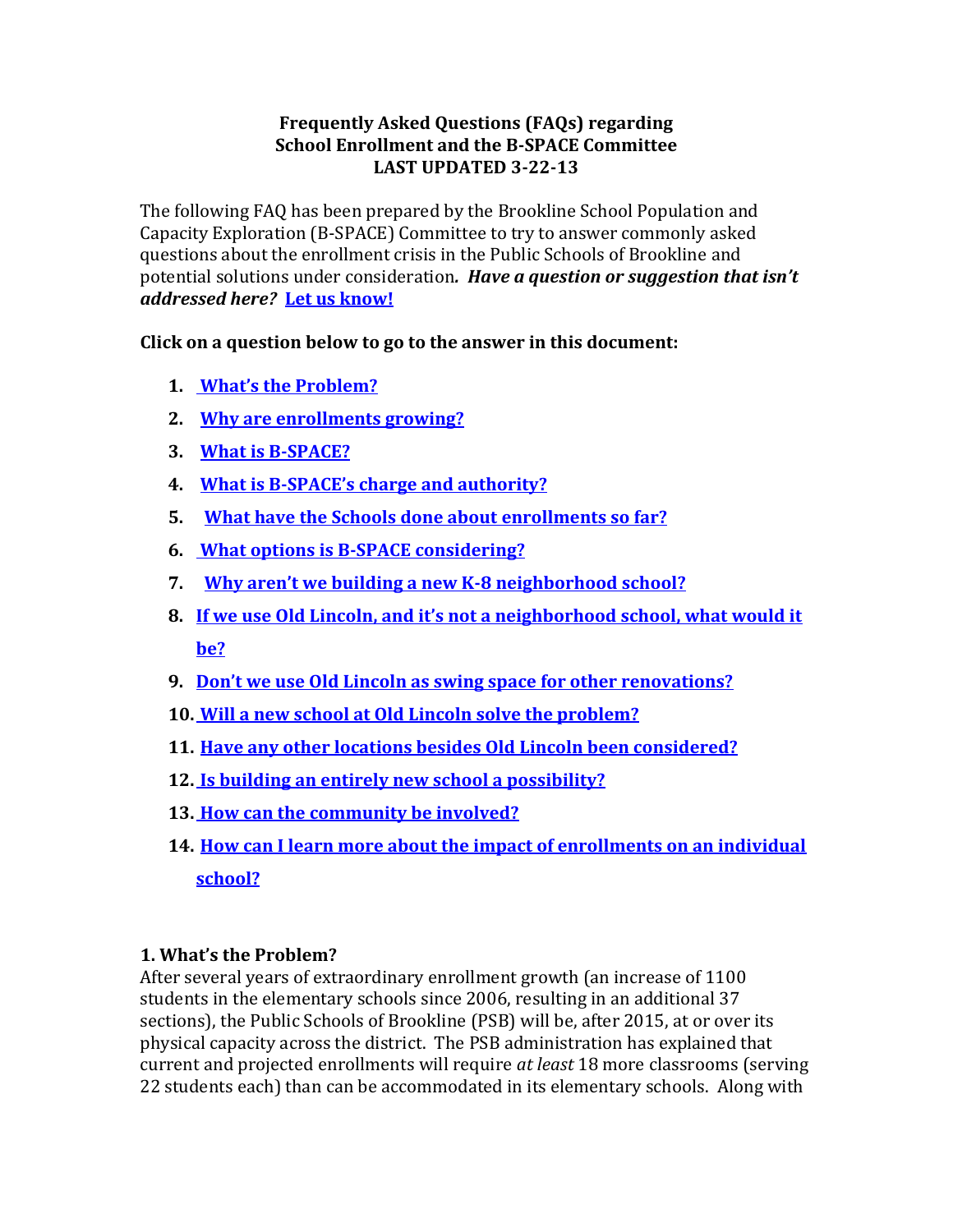# **Frequently Asked Questions (FAQs) regarding School Enrollment and the B-SPACE Committee LAST UPDATED 3-22-13**

The following FAQ has been prepared by the Brookline School Population and Capacity Exploration (B-SPACE) Committee to try to answer commonly asked questions about the enrollment crisis in the Public Schools of Brookline and potential solutions under consideration*. Have a question or suggestion that isn't addressed here?* **[Let us know!](mailto:rebecca_stone@brookline.k12.ma.us?subject=Question/Suggestion%20re:%20Schools%20Space%20Planning)**

**Click on a question below to go to the answer in this document:**

- **1. [What's the Problem?](#page-0-0)**
- **2. [Why are enrollments growing?](#page-1-0)**
- **3. [What is B-SPACE?](#page-1-1)**
- **4. What is B-[SPACE's charge and authority?](#page-1-2)**
- **5. [What have the Schools done about enrollments so far?](#page-2-0)**
- **6. [What options is B-SPACE considering?](#page-3-0)**
- **7. [Why aren't we building a new K](#page-3-1)-8 neighborhood school?**
- **8. If we use Old Lincoln, [and it's not a neighborhood school, what would it](#page-4-0)  [be?](#page-4-0)**
- **9. [Don't we use Old Lincoln as swing space for other renovations?](#page-4-1)**
- **10. [Will a new school at Old Lincoln solve the problem?](#page-4-2)**
- **11. [Have any other locations besides Old Lincoln been considered?](#page-4-3)**
- **12. [Is building an entirely new school a possibility?](#page-4-4)**
- **13. [How can the community be involved?](#page-4-5)**
- **14. [How can I learn more about the impact of enrollments on an individual](#page-5-0)  [school?](#page-5-0)**

# <span id="page-0-0"></span>**1. What's the Problem?**

After several years of extraordinary enrollment growth (an increase of 1100 students in the elementary schools since 2006, resulting in an additional 37 sections), the Public Schools of Brookline (PSB) will be, after 2015, at or over its physical capacity across the district. The PSB administration has explained that current and projected enrollments will require *at least* 18 more classrooms (serving 22 students each) than can be accommodated in its elementary schools. Along with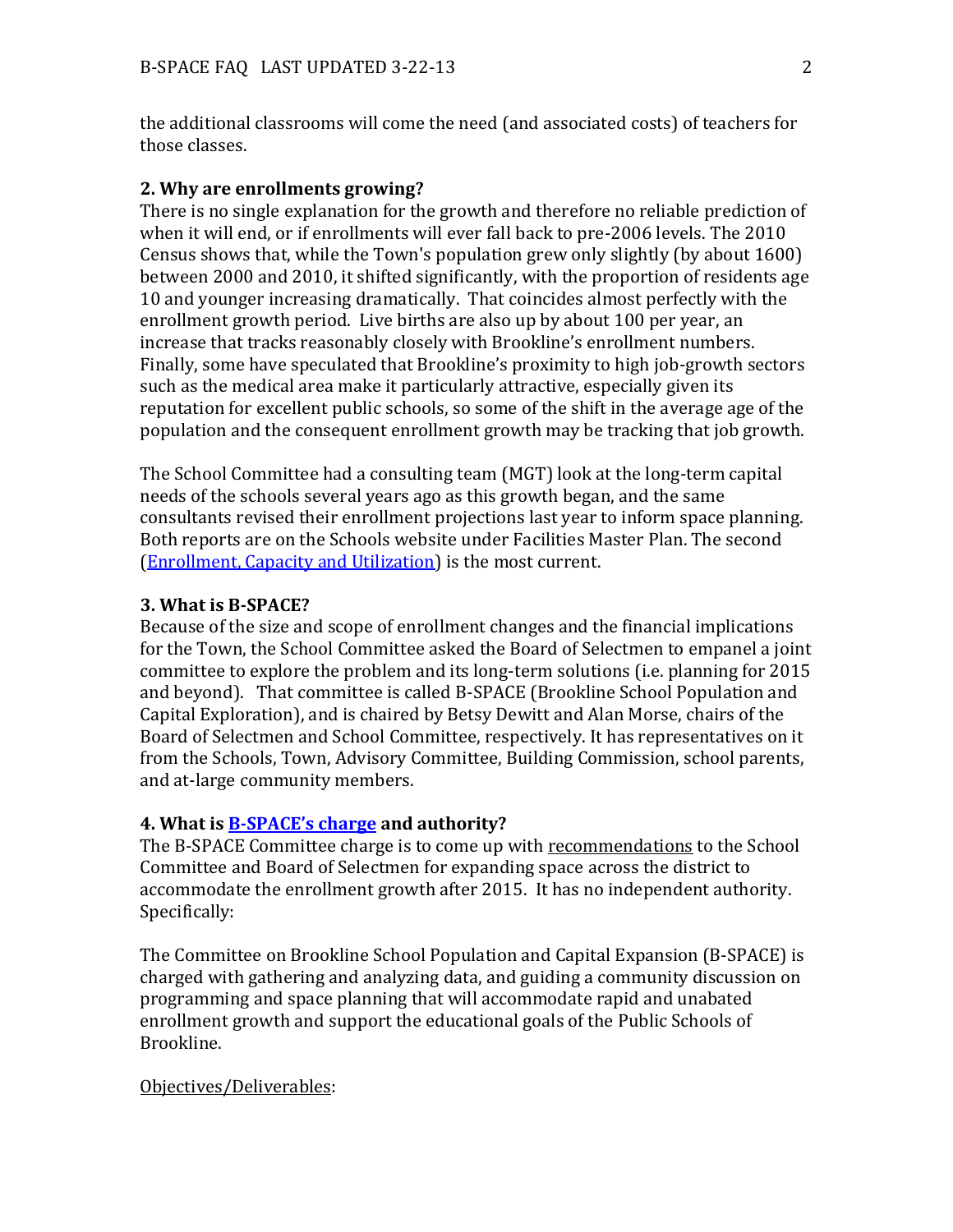the additional classrooms will come the need (and associated costs) of teachers for those classes.

#### <span id="page-1-0"></span>**2. Why are enrollments growing?**

There is no single explanation for the growth and therefore no reliable prediction of when it will end, or if enrollments will ever fall back to pre-2006 levels. The 2010 Census shows that, while the Town's population grew only slightly (by about 1600) between 2000 and 2010, it shifted significantly, with the proportion of residents age 10 and younger increasing dramatically. That coincides almost perfectly with the enrollment growth period. Live births are also up by about 100 per year, an increase that tracks reasonably closely with Brookline's enrollment numbers. Finally, some have speculated that Brookline's proximity to high job-growth sectors such as the medical area make it particularly attractive, especially given its reputation for excellent public schools, so some of the shift in the average age of the population and the consequent enrollment growth may be tracking that job growth.

The School Committee had a consulting team (MGT) look at the long-term capital needs of the schools several years ago as this growth began, and the same consultants revised their enrollment projections last year to inform space planning. Both reports are on the Schools website under Facilities Master Plan. The second [\(Enrollment, Capacity and Utilization\)](http://www.brookline.k12.ma.us/index.php?option=com_content&view=article&id=190:administration-a-finance-school-building-services&catid=38:general) is the most current.

#### <span id="page-1-1"></span>**3. What is B-SPACE?**

Because of the size and scope of enrollment changes and the financial implications for the Town, the School Committee asked the Board of Selectmen to empanel a joint committee to explore the problem and its long-term solutions (i.e. planning for 2015 and beyond). That committee is called B-SPACE (Brookline School Population and Capital Exploration), and is chaired by Betsy Dewitt and Alan Morse, chairs of the Board of Selectmen and School Committee, respectively. It has representatives on it from the Schools, Town, Advisory Committee, Building Commission, school parents, and at-large community members.

#### <span id="page-1-2"></span>**4. What is B-[SPACE's charge](http://www.brooklinema.gov/index.php?option=com_content&view=article&id=1503:committee-on-space-planning-for-enrollment-growth-in-the-public-schools&catid=326:boards-appointd-by-selectmen&Itemid=1742) and authority?**

The B-SPACE Committee charge is to come up with recommendations to the School Committee and Board of Selectmen for expanding space across the district to accommodate the enrollment growth after 2015. It has no independent authority. Specifically:

The Committee on Brookline School Population and Capital Expansion (B-SPACE) is charged with gathering and analyzing data, and guiding a community discussion on programming and space planning that will accommodate rapid and unabated enrollment growth and support the educational goals of the Public Schools of Brookline.

#### Objectives/Deliverables: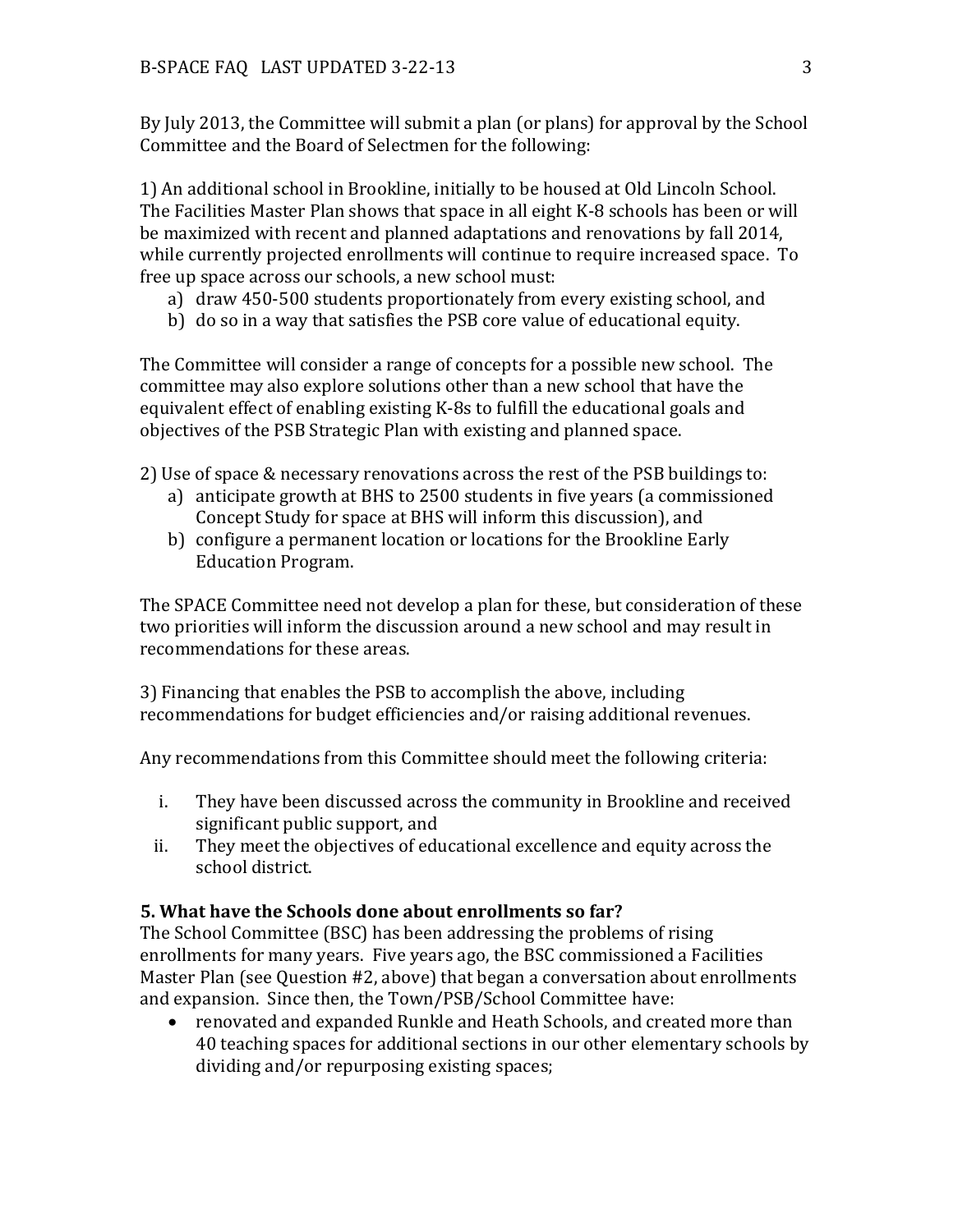By July 2013, the Committee will submit a plan (or plans) for approval by the School Committee and the Board of Selectmen for the following:

1) An additional school in Brookline, initially to be housed at Old Lincoln School. The Facilities Master Plan shows that space in all eight K-8 schools has been or will be maximized with recent and planned adaptations and renovations by fall 2014, while currently projected enrollments will continue to require increased space. To free up space across our schools, a new school must:

- a) draw 450-500 students proportionately from every existing school, and
- b) do so in a way that satisfies the PSB core value of educational equity.

The Committee will consider a range of concepts for a possible new school. The committee may also explore solutions other than a new school that have the equivalent effect of enabling existing K-8s to fulfill the educational goals and objectives of the PSB Strategic Plan with existing and planned space.

2) Use of space & necessary renovations across the rest of the PSB buildings to:

- a) anticipate growth at BHS to 2500 students in five years (a commissioned Concept Study for space at BHS will inform this discussion), and
- b) configure a permanent location or locations for the Brookline Early Education Program.

The SPACE Committee need not develop a plan for these, but consideration of these two priorities will inform the discussion around a new school and may result in recommendations for these areas.

3) Financing that enables the PSB to accomplish the above, including recommendations for budget efficiencies and/or raising additional revenues.

Any recommendations from this Committee should meet the following criteria:

- i. They have been discussed across the community in Brookline and received significant public support, and
- ii. They meet the objectives of educational excellence and equity across the school district.

### <span id="page-2-0"></span>**5. What have the Schools done about enrollments so far?**

The School Committee (BSC) has been addressing the problems of rising enrollments for many years. Five years ago, the BSC commissioned a Facilities Master Plan (see Question #2, above) that began a conversation about enrollments and expansion. Since then, the Town/PSB/School Committee have:

 renovated and expanded Runkle and Heath Schools, and created more than 40 teaching spaces for additional sections in our other elementary schools by dividing and/or repurposing existing spaces;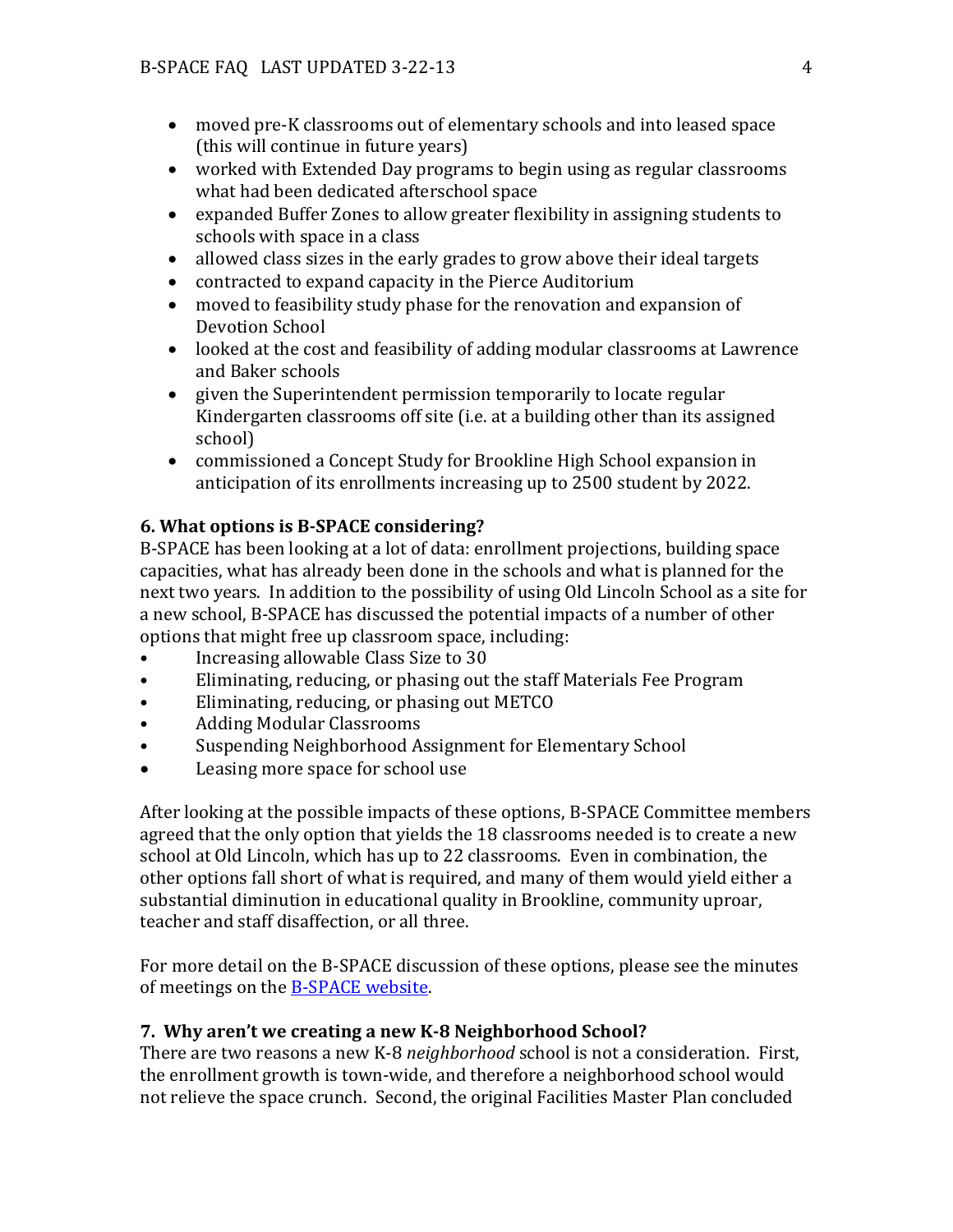- moved pre-K classrooms out of elementary schools and into leased space (this will continue in future years)
- worked with Extended Day programs to begin using as regular classrooms what had been dedicated afterschool space
- expanded Buffer Zones to allow greater flexibility in assigning students to schools with space in a class
- allowed class sizes in the early grades to grow above their ideal targets
- contracted to expand capacity in the Pierce Auditorium
- moved to feasibility study phase for the renovation and expansion of Devotion School
- looked at the cost and feasibility of adding modular classrooms at Lawrence and Baker schools
- given the Superintendent permission temporarily to locate regular Kindergarten classrooms off site (i.e. at a building other than its assigned school)
- commissioned a Concept Study for Brookline High School expansion in anticipation of its enrollments increasing up to 2500 student by 2022.

## <span id="page-3-0"></span>**6. What options is B-SPACE considering?**

B-SPACE has been looking at a lot of data: enrollment projections, building space capacities, what has already been done in the schools and what is planned for the next two years. In addition to the possibility of using Old Lincoln School as a site for a new school, B-SPACE has discussed the potential impacts of a number of other options that might free up classroom space, including:

- Increasing allowable Class Size to 30
- Eliminating, reducing, or phasing out the staff Materials Fee Program
- Eliminating, reducing, or phasing out METCO
- Adding Modular Classrooms
- Suspending Neighborhood Assignment for Elementary School
- Leasing more space for school use

After looking at the possible impacts of these options, B-SPACE Committee members agreed that the only option that yields the 18 classrooms needed is to create a new school at Old Lincoln, which has up to 22 classrooms. Even in combination, the other options fall short of what is required, and many of them would yield either a substantial diminution in educational quality in Brookline, community uproar, teacher and staff disaffection, or all three.

For more detail on the B-SPACE discussion of these options, please see the minutes of meetings on the [B-SPACE website.](http://www.brooklinema.gov/index.php?option=com_content&view=article&id=1503:committee-on-space-planning-for-enrollment-growth-in-the-public-schools&catid=326:boards-appointd-by-selectmen&Itemid=1742)

### <span id="page-3-1"></span>**7. Why aren't we creating a new K-8 Neighborhood School?**

There are two reasons a new K-8 *neighborhood* school is not a consideration. First, the enrollment growth is town-wide, and therefore a neighborhood school would not relieve the space crunch. Second, the original Facilities Master Plan concluded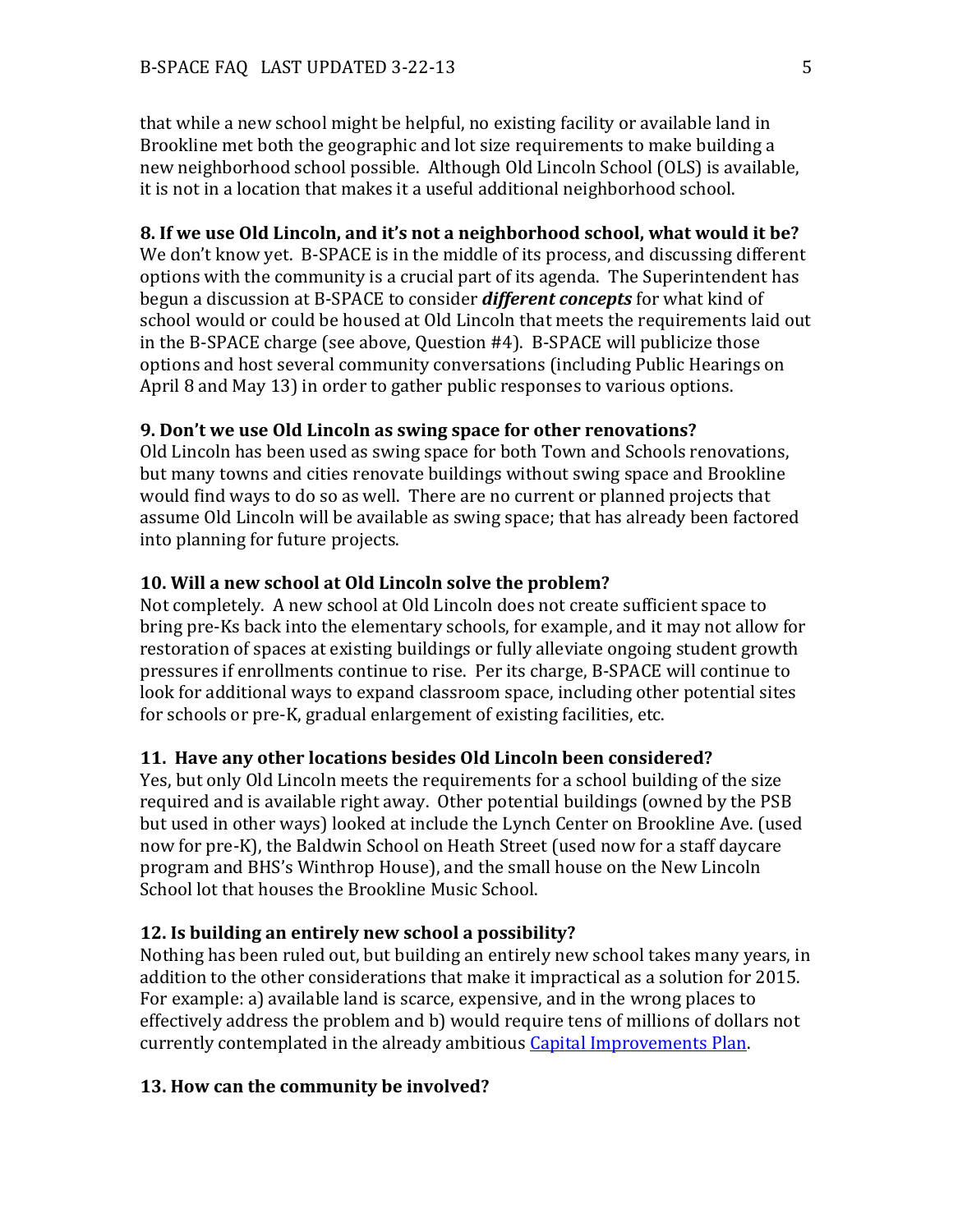that while a new school might be helpful, no existing facility or available land in Brookline met both the geographic and lot size requirements to make building a new neighborhood school possible. Although Old Lincoln School (OLS) is available, it is not in a location that makes it a useful additional neighborhood school.

### <span id="page-4-0"></span>**8. If we use Old Lincoln, and it's not a neighborhood school, what would it be?**

We don't know yet. B-SPACE is in the middle of its process, and discussing different options with the community is a crucial part of its agenda. The Superintendent has begun a discussion at B-SPACE to consider *different concepts* for what kind of school would or could be housed at Old Lincoln that meets the requirements laid out in the B-SPACE charge (see above, Question #4). B-SPACE will publicize those options and host several community conversations (including Public Hearings on April 8 and May 13) in order to gather public responses to various options.

## <span id="page-4-1"></span>**9. Don't we use Old Lincoln as swing space for other renovations?**

Old Lincoln has been used as swing space for both Town and Schools renovations, but many towns and cities renovate buildings without swing space and Brookline would find ways to do so as well. There are no current or planned projects that assume Old Lincoln will be available as swing space; that has already been factored into planning for future projects.

### <span id="page-4-2"></span>**10. Will a new school at Old Lincoln solve the problem?**

Not completely. A new school at Old Lincoln does not create sufficient space to bring pre-Ks back into the elementary schools, for example, and it may not allow for restoration of spaces at existing buildings or fully alleviate ongoing student growth pressures if enrollments continue to rise. Per its charge, B-SPACE will continue to look for additional ways to expand classroom space, including other potential sites for schools or pre-K, gradual enlargement of existing facilities, etc.

#### <span id="page-4-3"></span>**11. Have any other locations besides Old Lincoln been considered?**

Yes, but only Old Lincoln meets the requirements for a school building of the size required and is available right away. Other potential buildings (owned by the PSB but used in other ways) looked at include the Lynch Center on Brookline Ave. (used now for pre-K), the Baldwin School on Heath Street (used now for a staff daycare program and BHS's Winthrop House), and the small house on the New Lincoln School lot that houses the Brookline Music School.

#### <span id="page-4-4"></span>**12. Is building an entirely new school a possibility?**

Nothing has been ruled out, but building an entirely new school takes many years, in addition to the other considerations that make it impractical as a solution for 2015. For example: a) available land is scarce, expensive, and in the wrong places to effectively address the problem and b) would require tens of millions of dollars not currently contemplated in the already ambitious [Capital Improvements Plan.](http://www.brooklinema.gov/index.php?option=com_docman&Itemid=1744)

#### <span id="page-4-5"></span>**13. How can the community be involved?**